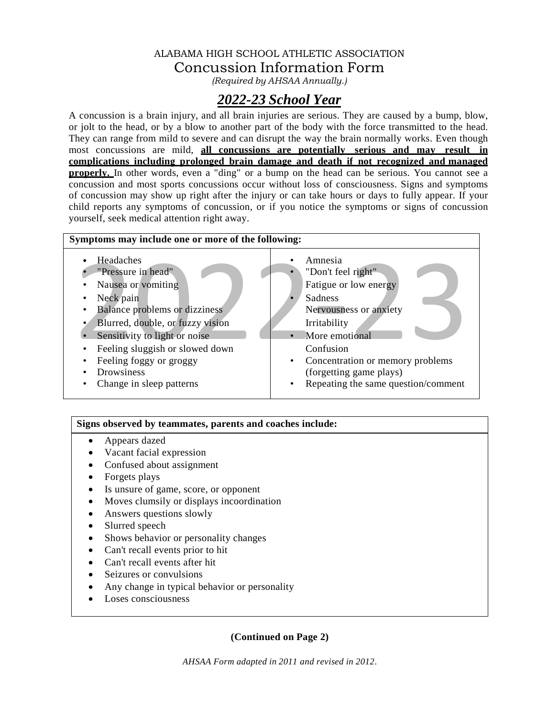### ALABAMA HIGH SCHOOL ATHLETIC ASSOCIATION Concussion Information Form

*(Required by AHSAA Annually.)*

# *2022-23 School Year*

A concussion is a brain injury, and all brain injuries are serious. They are caused by a bump, blow, or jolt to the head, or by a blow to another part of the body with the force transmitted to the head. They can range from mild to severe and can disrupt the way the brain normally works. Even though most concussions are mild, **all concussions are potentially serious and may result in complications including prolonged brain damage and death if not recognized and managed properly.** In other words, even a "ding" or a bump on the head can be serious. You cannot see a concussion and most sports concussions occur without loss of consciousness. Signs and symptoms of concussion may show up right after the injury or can take hours or days to fully appear. If your child reports any symptoms of concussion, or if you notice the symptoms or signs of concussion yourself, seek medical attention right away.



### **Signs observed by teammates, parents and coaches include:**

- Appears dazed
- Vacant facial expression
- Confused about assignment
- Forgets plays
- Is unsure of game, score, or opponent
- Moves clumsily or displays incoordination
- Answers questions slowly
- Slurred speech
- Shows behavior or personality changes
- Can't recall events prior to hit
- Can't recall events after hit
- Seizures or convulsions
- Any change in typical behavior or personality
- Loses consciousness

### **(Continued on Page 2)**

*AHSAA Form adapted in 2011 and revised in 2012.*